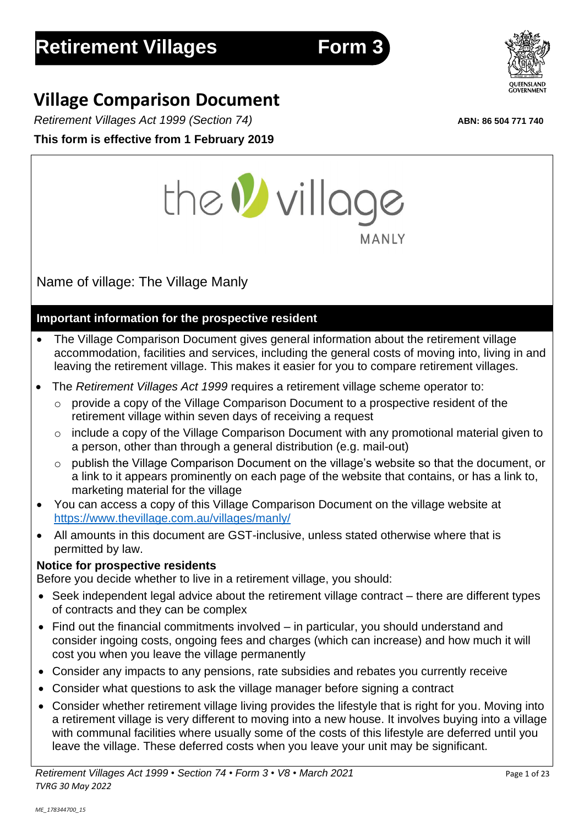# **Village Comparison Document**

*Retirement Villages Act 1999 (Section 74)* **ABN: 86 504 771 740**

**This form is effective from 1 February 2019**



# **Important information for the prospective resident**

- The Village Comparison Document gives general information about the retirement village accommodation, facilities and services, including the general costs of moving into, living in and leaving the retirement village. This makes it easier for you to compare retirement villages.
- The *Retirement Villages Act 1999* requires a retirement village scheme operator to:
	- o provide a copy of the Village Comparison Document to a prospective resident of the retirement village within seven days of receiving a request
	- o include a copy of the Village Comparison Document with any promotional material given to a person, other than through a general distribution (e.g. mail-out)
	- o publish the Village Comparison Document on the village's website so that the document, or a link to it appears prominently on each page of the website that contains, or has a link to, marketing material for the village
- You can access a copy of this Village Comparison Document on the village website at https://www.thevillage.com.au/villages/manly/
- All amounts in this document are GST-inclusive, unless stated otherwise where that is permitted by law.

# **Notice for prospective residents**

Before you decide whether to live in a retirement village, you should:

- Seek independent legal advice about the retirement village contract there are different types of contracts and they can be complex
- Find out the financial commitments involved in particular, you should understand and consider ingoing costs, ongoing fees and charges (which can increase) and how much it will cost you when you leave the village permanently
- Consider any impacts to any pensions, rate subsidies and rebates you currently receive
- Consider what questions to ask the village manager before signing a contract
- Consider whether retirement village living provides the lifestyle that is right for you. Moving into a retirement village is very different to moving into a new house. It involves buying into a village with communal facilities where usually some of the costs of this lifestyle are deferred until you leave the village. These deferred costs when you leave your unit may be significant.



**MANLY** 

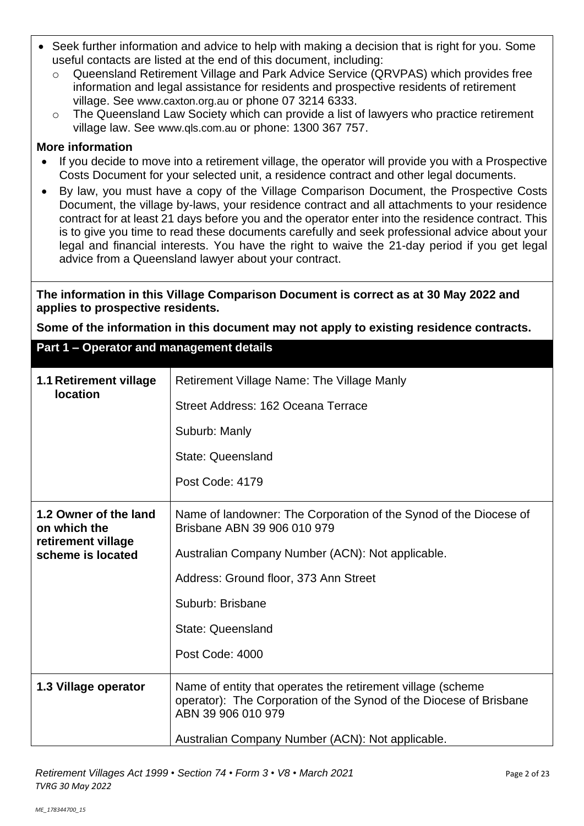- Seek further information and advice to help with making a decision that is right for you. Some useful contacts are listed at the end of this document, including:
	- o Queensland Retirement Village and Park Advice Service (QRVPAS) which provides free information and legal assistance for residents and prospective residents of retirement village. See [www.caxton.org.au](http://www.caxton.org.au/) or phone 07 3214 6333.
	- $\circ$  The Queensland Law Society which can provide a list of lawyers who practice retirement village law. See [www.qls.com.au](http://www.qls.com.au/) or phone: 1300 367 757.

#### **More information**

- If you decide to move into a retirement village, the operator will provide you with a Prospective Costs Document for your selected unit, a residence contract and other legal documents.
- By law, you must have a copy of the Village Comparison Document, the Prospective Costs Document, the village by-laws, your residence contract and all attachments to your residence contract for at least 21 days before you and the operator enter into the residence contract. This is to give you time to read these documents carefully and seek professional advice about your legal and financial interests. You have the right to waive the 21-day period if you get legal advice from a Queensland lawyer about your contract.

**The information in this Village Comparison Document is correct as at 30 May 2022 and applies to prospective residents.**

**Some of the information in this document may not apply to existing residence contracts.**

**Part 1 – Operator and management details**

| 1.1 Retirement village<br><b>location</b> | <b>Retirement Village Name: The Village Manly</b><br>Street Address: 162 Oceana Terrace<br>Suburb: Manly<br><b>State: Queensland</b>                    |  |
|-------------------------------------------|---------------------------------------------------------------------------------------------------------------------------------------------------------|--|
|                                           | Post Code: 4179                                                                                                                                         |  |
| 1.2 Owner of the land<br>on which the     | Name of landowner: The Corporation of the Synod of the Diocese of<br>Brisbane ABN 39 906 010 979                                                        |  |
| retirement village<br>scheme is located   | Australian Company Number (ACN): Not applicable.                                                                                                        |  |
|                                           | Address: Ground floor, 373 Ann Street                                                                                                                   |  |
|                                           | Suburb: Brisbane                                                                                                                                        |  |
|                                           | <b>State: Queensland</b>                                                                                                                                |  |
|                                           | Post Code: 4000                                                                                                                                         |  |
| 1.3 Village operator                      | Name of entity that operates the retirement village (scheme<br>operator): The Corporation of the Synod of the Diocese of Brisbane<br>ABN 39 906 010 979 |  |
|                                           | Australian Company Number (ACN): Not applicable.                                                                                                        |  |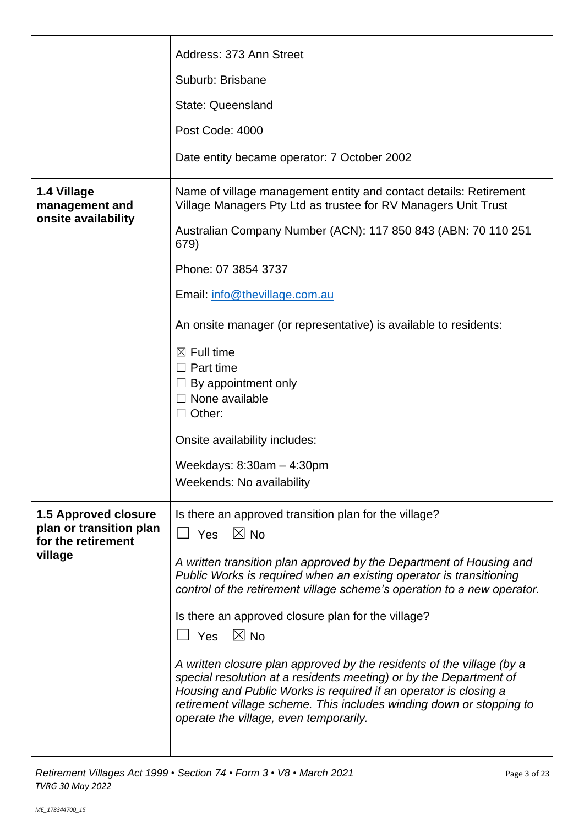|                                                                              | Suburb: Brisbane                                                                                                                                                                                                                                                                                                                  |  |  |  |
|------------------------------------------------------------------------------|-----------------------------------------------------------------------------------------------------------------------------------------------------------------------------------------------------------------------------------------------------------------------------------------------------------------------------------|--|--|--|
|                                                                              | <b>State: Queensland</b>                                                                                                                                                                                                                                                                                                          |  |  |  |
|                                                                              | Post Code: 4000                                                                                                                                                                                                                                                                                                                   |  |  |  |
|                                                                              | Date entity became operator: 7 October 2002                                                                                                                                                                                                                                                                                       |  |  |  |
| 1.4 Village<br>management and                                                | Name of village management entity and contact details: Retirement<br>Village Managers Pty Ltd as trustee for RV Managers Unit Trust                                                                                                                                                                                               |  |  |  |
| onsite availability                                                          | Australian Company Number (ACN): 117 850 843 (ABN: 70 110 251<br>679)                                                                                                                                                                                                                                                             |  |  |  |
|                                                                              | Phone: 07 3854 3737                                                                                                                                                                                                                                                                                                               |  |  |  |
|                                                                              | Email: info@thevillage.com.au                                                                                                                                                                                                                                                                                                     |  |  |  |
|                                                                              | An onsite manager (or representative) is available to residents:                                                                                                                                                                                                                                                                  |  |  |  |
|                                                                              | $\boxtimes$ Full time<br>$\Box$ Part time<br>By appointment only<br>$\Box$ None available<br>$\Box$ Other:                                                                                                                                                                                                                        |  |  |  |
|                                                                              | Onsite availability includes:                                                                                                                                                                                                                                                                                                     |  |  |  |
|                                                                              | Weekdays: $8:30am - 4:30pm$                                                                                                                                                                                                                                                                                                       |  |  |  |
|                                                                              | Weekends: No availability                                                                                                                                                                                                                                                                                                         |  |  |  |
| <b>1.5 Approved closure</b><br>plan or transition plan<br>for the retirement | Is there an approved transition plan for the village?<br>$\Box$ Yes $\boxtimes$ No                                                                                                                                                                                                                                                |  |  |  |
| village                                                                      | A written transition plan approved by the Department of Housing and<br>Public Works is required when an existing operator is transitioning<br>control of the retirement village scheme's operation to a new operator.                                                                                                             |  |  |  |
|                                                                              | Is there an approved closure plan for the village?<br>$\boxtimes$ No<br>$\Box$ Yes                                                                                                                                                                                                                                                |  |  |  |
|                                                                              | A written closure plan approved by the residents of the village (by a<br>special resolution at a residents meeting) or by the Department of<br>Housing and Public Works is required if an operator is closing a<br>retirement village scheme. This includes winding down or stopping to<br>operate the village, even temporarily. |  |  |  |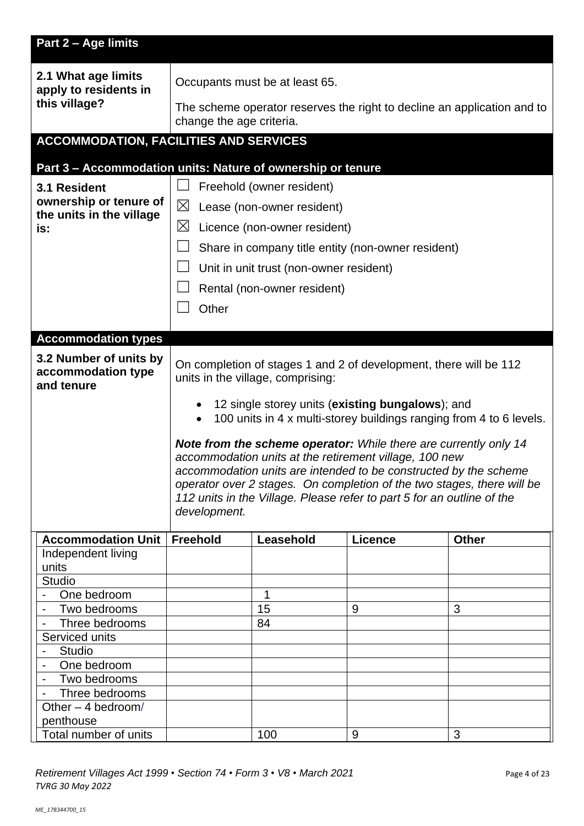| Part 2 - Age limits                                        |                                                                                                                                                  |                                         |                                                    |                                                                         |
|------------------------------------------------------------|--------------------------------------------------------------------------------------------------------------------------------------------------|-----------------------------------------|----------------------------------------------------|-------------------------------------------------------------------------|
| 2.1 What age limits<br>apply to residents in               | Occupants must be at least 65.                                                                                                                   |                                         |                                                    |                                                                         |
| this village?                                              | change the age criteria.                                                                                                                         |                                         |                                                    | The scheme operator reserves the right to decline an application and to |
| <b>ACCOMMODATION, FACILITIES AND SERVICES</b>              |                                                                                                                                                  |                                         |                                                    |                                                                         |
|                                                            |                                                                                                                                                  |                                         |                                                    |                                                                         |
| 3.1 Resident                                               | Part 3 - Accommodation units: Nature of ownership or tenure<br>Freehold (owner resident)                                                         |                                         |                                                    |                                                                         |
| ownership or tenure of                                     | $\boxtimes$                                                                                                                                      |                                         |                                                    |                                                                         |
| the units in the village                                   | Lease (non-owner resident)                                                                                                                       |                                         |                                                    |                                                                         |
| is:                                                        | $\boxtimes$                                                                                                                                      | Licence (non-owner resident)            |                                                    |                                                                         |
|                                                            |                                                                                                                                                  |                                         | Share in company title entity (non-owner resident) |                                                                         |
|                                                            |                                                                                                                                                  | Unit in unit trust (non-owner resident) |                                                    |                                                                         |
|                                                            |                                                                                                                                                  | Rental (non-owner resident)             |                                                    |                                                                         |
|                                                            | Other                                                                                                                                            |                                         |                                                    |                                                                         |
| <b>Accommodation types</b>                                 |                                                                                                                                                  |                                         |                                                    |                                                                         |
|                                                            |                                                                                                                                                  |                                         |                                                    |                                                                         |
| 3.2 Number of units by<br>accommodation type<br>and tenure | On completion of stages 1 and 2 of development, there will be 112<br>units in the village, comprising:                                           |                                         |                                                    |                                                                         |
|                                                            | 12 single storey units (existing bungalows); and<br>100 units in 4 x multi-storey buildings ranging from 4 to 6 levels.<br>$\bullet$             |                                         |                                                    |                                                                         |
|                                                            |                                                                                                                                                  |                                         |                                                    |                                                                         |
|                                                            | Note from the scheme operator: While there are currently only 14<br>accommodation units at the retirement village, 100 new                       |                                         |                                                    |                                                                         |
|                                                            | accommodation units are intended to be constructed by the scheme                                                                                 |                                         |                                                    |                                                                         |
|                                                            | operator over 2 stages. On completion of the two stages, there will be<br>112 units in the Village. Please refer to part 5 for an outline of the |                                         |                                                    |                                                                         |
|                                                            | development.                                                                                                                                     |                                         |                                                    |                                                                         |
| <b>Accommodation Unit</b>                                  | <b>Freehold</b>                                                                                                                                  | Leasehold                               | <b>Licence</b>                                     | <b>Other</b>                                                            |
| Independent living                                         |                                                                                                                                                  |                                         |                                                    |                                                                         |
| units                                                      |                                                                                                                                                  |                                         |                                                    |                                                                         |
| <b>Studio</b>                                              |                                                                                                                                                  |                                         |                                                    |                                                                         |
| One bedroom                                                |                                                                                                                                                  | 1                                       |                                                    |                                                                         |
| Two bedrooms<br>$\blacksquare$                             |                                                                                                                                                  | 15                                      | 9                                                  | 3                                                                       |
| Three bedrooms                                             |                                                                                                                                                  | 84                                      |                                                    |                                                                         |
| Serviced units<br><b>Studio</b>                            |                                                                                                                                                  |                                         |                                                    |                                                                         |
| One bedroom<br>$\overline{\phantom{a}}$                    |                                                                                                                                                  |                                         |                                                    |                                                                         |
| Two bedrooms<br>$\blacksquare$                             |                                                                                                                                                  |                                         |                                                    |                                                                         |
| Three bedrooms                                             |                                                                                                                                                  |                                         |                                                    |                                                                         |
| Other $-4$ bedroom/                                        |                                                                                                                                                  |                                         |                                                    |                                                                         |
| penthouse                                                  |                                                                                                                                                  |                                         |                                                    |                                                                         |
| Total number of units                                      |                                                                                                                                                  | 100                                     | 9                                                  | 3                                                                       |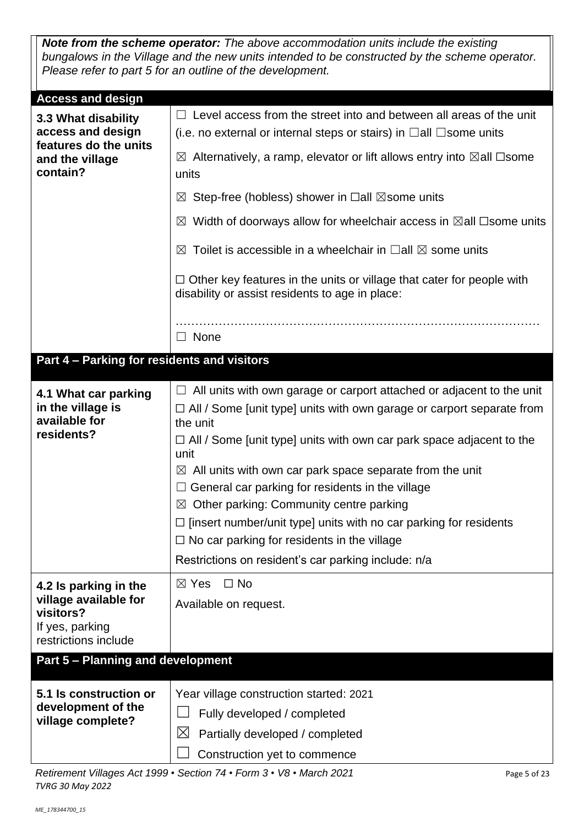*Note from the scheme operator: The above accommodation units include the existing bungalows in the Village and the new units intended to be constructed by the scheme operator. Please refer to part 5 for an outline of the development.*

| <b>Access and design</b>                                                                         |                                                                                                                                                                             |  |  |  |
|--------------------------------------------------------------------------------------------------|-----------------------------------------------------------------------------------------------------------------------------------------------------------------------------|--|--|--|
| 3.3 What disability<br>access and design<br>features do the units<br>and the village<br>contain? | $\Box$ Level access from the street into and between all areas of the unit<br>(i.e. no external or internal steps or stairs) in $\Box$ all $\Box$ some units                |  |  |  |
|                                                                                                  | $\boxtimes$ Alternatively, a ramp, elevator or lift allows entry into $\boxtimes$ all $\Box$ some<br>units                                                                  |  |  |  |
|                                                                                                  | $\boxtimes$ Step-free (hobless) shower in $\Box$ all $\boxtimes$ some units                                                                                                 |  |  |  |
|                                                                                                  | $\boxtimes$ Width of doorways allow for wheelchair access in $\boxtimes$ all $\Box$ some units                                                                              |  |  |  |
|                                                                                                  | Toilet is accessible in a wheelchair in $\Box$ all $\boxtimes$ some units<br>$\bowtie$                                                                                      |  |  |  |
|                                                                                                  | $\Box$ Other key features in the units or village that cater for people with<br>disability or assist residents to age in place:                                             |  |  |  |
|                                                                                                  | None<br>$\perp$                                                                                                                                                             |  |  |  |
| Part 4 - Parking for residents and visitors                                                      |                                                                                                                                                                             |  |  |  |
| 4.1 What car parking<br>in the village is<br>available for<br>residents?                         | All units with own garage or carport attached or adjacent to the unit<br>$\Box$<br>$\Box$ All / Some [unit type] units with own garage or carport separate from<br>the unit |  |  |  |
|                                                                                                  | $\Box$ All / Some [unit type] units with own car park space adjacent to the<br>unit                                                                                         |  |  |  |
|                                                                                                  | $\boxtimes$ All units with own car park space separate from the unit                                                                                                        |  |  |  |
|                                                                                                  | General car parking for residents in the village<br>$\Box$                                                                                                                  |  |  |  |
|                                                                                                  | Other parking: Community centre parking<br>$\boxtimes$<br>$\Box$ [insert number/unit type] units with no car parking for residents                                          |  |  |  |
|                                                                                                  | $\Box$ No car parking for residents in the village                                                                                                                          |  |  |  |
|                                                                                                  | Restrictions on resident's car parking include: n/a                                                                                                                         |  |  |  |
| 4.2 Is parking in the                                                                            | $\boxtimes$ Yes<br>$\Box$ No                                                                                                                                                |  |  |  |
| village available for<br>visitors?                                                               | Available on request.                                                                                                                                                       |  |  |  |
| If yes, parking<br>restrictions include                                                          |                                                                                                                                                                             |  |  |  |
| <b>Part 5 - Planning and development</b>                                                         |                                                                                                                                                                             |  |  |  |
| 5.1 Is construction or                                                                           | Year village construction started: 2021                                                                                                                                     |  |  |  |
| development of the<br>village complete?                                                          | Fully developed / completed                                                                                                                                                 |  |  |  |
|                                                                                                  | $\boxtimes$<br>Partially developed / completed                                                                                                                              |  |  |  |
|                                                                                                  | Construction yet to commence                                                                                                                                                |  |  |  |

*Retirement Villages Act 1999* • *Section 74* • *Form 3* • *V8* • *March 2021* Page 5 of 23 *TVRG 30 May 2022*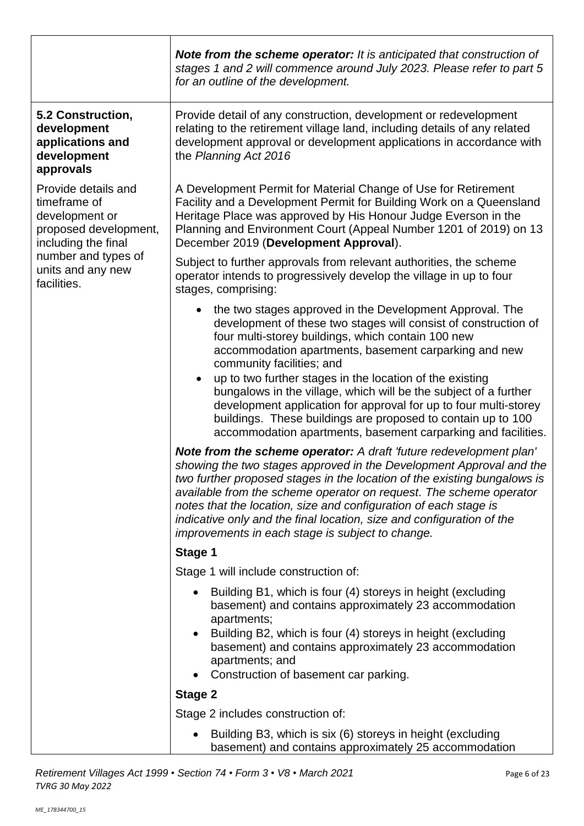|                                                                                                       | Note from the scheme operator: It is anticipated that construction of<br>stages 1 and 2 will commence around July 2023. Please refer to part 5<br>for an outline of the development.                                                                                                                                                                                                                                                                                                                                                                                                                                      |
|-------------------------------------------------------------------------------------------------------|---------------------------------------------------------------------------------------------------------------------------------------------------------------------------------------------------------------------------------------------------------------------------------------------------------------------------------------------------------------------------------------------------------------------------------------------------------------------------------------------------------------------------------------------------------------------------------------------------------------------------|
| 5.2 Construction,<br>development<br>applications and<br>development<br>approvals                      | Provide detail of any construction, development or redevelopment<br>relating to the retirement village land, including details of any related<br>development approval or development applications in accordance with<br>the Planning Act 2016                                                                                                                                                                                                                                                                                                                                                                             |
| Provide details and<br>timeframe of<br>development or<br>proposed development,<br>including the final | A Development Permit for Material Change of Use for Retirement<br>Facility and a Development Permit for Building Work on a Queensland<br>Heritage Place was approved by His Honour Judge Everson in the<br>Planning and Environment Court (Appeal Number 1201 of 2019) on 13<br>December 2019 (Development Approval).                                                                                                                                                                                                                                                                                                     |
| number and types of<br>units and any new<br>facilities.                                               | Subject to further approvals from relevant authorities, the scheme<br>operator intends to progressively develop the village in up to four<br>stages, comprising:                                                                                                                                                                                                                                                                                                                                                                                                                                                          |
|                                                                                                       | the two stages approved in the Development Approval. The<br>development of these two stages will consist of construction of<br>four multi-storey buildings, which contain 100 new<br>accommodation apartments, basement carparking and new<br>community facilities; and<br>up to two further stages in the location of the existing<br>$\bullet$<br>bungalows in the village, which will be the subject of a further<br>development application for approval for up to four multi-storey<br>buildings. These buildings are proposed to contain up to 100<br>accommodation apartments, basement carparking and facilities. |
|                                                                                                       | Note from the scheme operator: A draft 'future redevelopment plan'<br>showing the two stages approved in the Development Approval and the<br>two further proposed stages in the location of the existing bungalows is<br>available from the scheme operator on request. The scheme operator<br>notes that the location, size and configuration of each stage is<br>indicative only and the final location, size and configuration of the<br>improvements in each stage is subject to change.                                                                                                                              |
|                                                                                                       | Stage 1                                                                                                                                                                                                                                                                                                                                                                                                                                                                                                                                                                                                                   |
|                                                                                                       | Stage 1 will include construction of:                                                                                                                                                                                                                                                                                                                                                                                                                                                                                                                                                                                     |
|                                                                                                       | Building B1, which is four (4) storeys in height (excluding<br>basement) and contains approximately 23 accommodation<br>apartments;<br>Building B2, which is four (4) storeys in height (excluding<br>basement) and contains approximately 23 accommodation<br>apartments; and<br>Construction of basement car parking.                                                                                                                                                                                                                                                                                                   |
|                                                                                                       | <b>Stage 2</b>                                                                                                                                                                                                                                                                                                                                                                                                                                                                                                                                                                                                            |
|                                                                                                       | Stage 2 includes construction of:                                                                                                                                                                                                                                                                                                                                                                                                                                                                                                                                                                                         |
|                                                                                                       | Building B3, which is six (6) storeys in height (excluding<br>basement) and contains approximately 25 accommodation                                                                                                                                                                                                                                                                                                                                                                                                                                                                                                       |

*Retirement Villages Act 1999* • *Section 74* • *Form 3* • *V8* • *March 2021* Page 6 of 23 *TVRG 30 May 2022*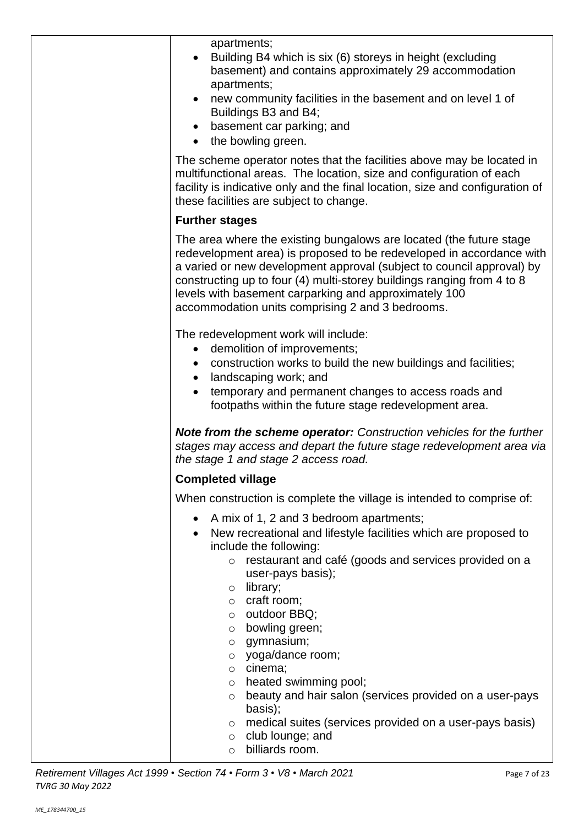| apartments;<br>Building B4 which is six (6) storeys in height (excluding<br>basement) and contains approximately 29 accommodation<br>apartments;<br>new community facilities in the basement and on level 1 of<br>Buildings B3 and B4;<br>basement car parking; and<br>the bowling green.<br>$\bullet$                                                                                                                                                                                                                                                                                                                                                |
|-------------------------------------------------------------------------------------------------------------------------------------------------------------------------------------------------------------------------------------------------------------------------------------------------------------------------------------------------------------------------------------------------------------------------------------------------------------------------------------------------------------------------------------------------------------------------------------------------------------------------------------------------------|
| The scheme operator notes that the facilities above may be located in<br>multifunctional areas. The location, size and configuration of each<br>facility is indicative only and the final location, size and configuration of<br>these facilities are subject to change.                                                                                                                                                                                                                                                                                                                                                                              |
| <b>Further stages</b>                                                                                                                                                                                                                                                                                                                                                                                                                                                                                                                                                                                                                                 |
| The area where the existing bungalows are located (the future stage<br>redevelopment area) is proposed to be redeveloped in accordance with<br>a varied or new development approval (subject to council approval) by<br>constructing up to four (4) multi-storey buildings ranging from 4 to 8<br>levels with basement carparking and approximately 100<br>accommodation units comprising 2 and 3 bedrooms.                                                                                                                                                                                                                                           |
| The redevelopment work will include:<br>demolition of improvements;<br>$\bullet$<br>construction works to build the new buildings and facilities;<br>landscaping work; and<br>$\bullet$<br>temporary and permanent changes to access roads and<br>footpaths within the future stage redevelopment area.                                                                                                                                                                                                                                                                                                                                               |
| <b>Note from the scheme operator:</b> Construction vehicles for the further<br>stages may access and depart the future stage redevelopment area via<br>the stage 1 and stage 2 access road.                                                                                                                                                                                                                                                                                                                                                                                                                                                           |
| <b>Completed village</b>                                                                                                                                                                                                                                                                                                                                                                                                                                                                                                                                                                                                                              |
| When construction is complete the village is intended to comprise of:                                                                                                                                                                                                                                                                                                                                                                                                                                                                                                                                                                                 |
| A mix of 1, 2 and 3 bedroom apartments;<br>$\bullet$<br>New recreational and lifestyle facilities which are proposed to<br>include the following:<br>o restaurant and café (goods and services provided on a<br>user-pays basis);<br>library;<br>$\circ$<br>o craft room;<br>$\circ$ outdoor BBQ;<br>bowling green;<br>$\circ$<br>$\circ$ gymnasium;<br>yoga/dance room;<br>O<br>cinema;<br>$\circ$<br>heated swimming pool;<br>$\circ$<br>beauty and hair salon (services provided on a user-pays<br>O<br>basis);<br>medical suites (services provided on a user-pays basis)<br>$\circ$<br>club lounge; and<br>$\circ$<br>billiards room.<br>$\circ$ |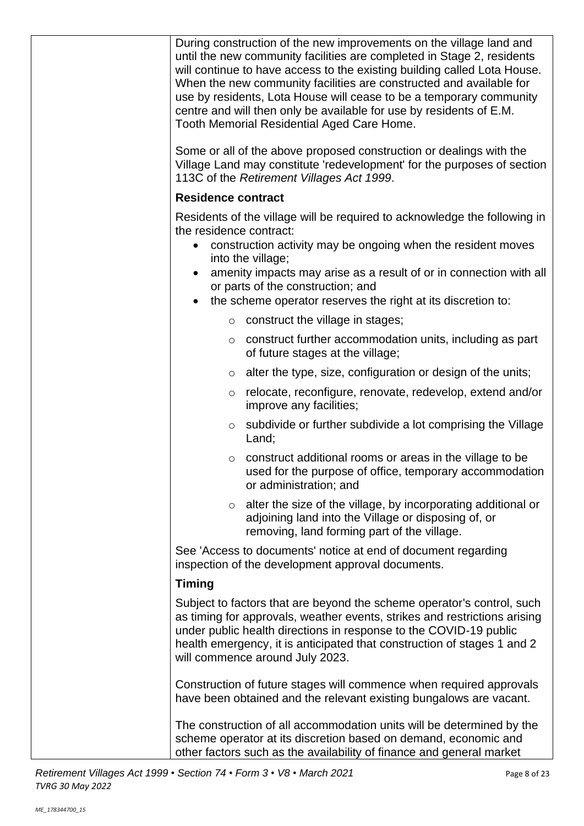| During construction of the new improvements on the village land and<br>until the new community facilities are completed in Stage 2, residents<br>will continue to have access to the existing building called Lota House.<br>When the new community facilities are constructed and available for<br>use by residents, Lota House will cease to be a temporary community<br>centre and will then only be available for use by residents of E.M.<br><b>Tooth Memorial Residential Aged Care Home.</b> |  |
|-----------------------------------------------------------------------------------------------------------------------------------------------------------------------------------------------------------------------------------------------------------------------------------------------------------------------------------------------------------------------------------------------------------------------------------------------------------------------------------------------------|--|
| Some or all of the above proposed construction or dealings with the<br>Village Land may constitute 'redevelopment' for the purposes of section<br>113C of the Retirement Villages Act 1999.                                                                                                                                                                                                                                                                                                         |  |
| <b>Residence contract</b>                                                                                                                                                                                                                                                                                                                                                                                                                                                                           |  |
| Residents of the village will be required to acknowledge the following in<br>the residence contract:<br>construction activity may be ongoing when the resident moves<br>$\bullet$<br>into the village;<br>amenity impacts may arise as a result of or in connection with all<br>or parts of the construction; and<br>the scheme operator reserves the right at its discretion to:                                                                                                                   |  |
| construct the village in stages;<br>$\circ$                                                                                                                                                                                                                                                                                                                                                                                                                                                         |  |
| construct further accommodation units, including as part<br>$\circ$<br>of future stages at the village;                                                                                                                                                                                                                                                                                                                                                                                             |  |
| alter the type, size, configuration or design of the units;<br>$\circ$                                                                                                                                                                                                                                                                                                                                                                                                                              |  |
| relocate, reconfigure, renovate, redevelop, extend and/or<br>$\circ$<br>improve any facilities;                                                                                                                                                                                                                                                                                                                                                                                                     |  |
| subdivide or further subdivide a lot comprising the Village<br>$\circ$<br>Land;                                                                                                                                                                                                                                                                                                                                                                                                                     |  |
| construct additional rooms or areas in the village to be<br>O<br>used for the purpose of office, temporary accommodation<br>or administration; and                                                                                                                                                                                                                                                                                                                                                  |  |
| alter the size of the village, by incorporating additional or<br>$\circ$<br>adjoining land into the Village or disposing of, or<br>removing, land forming part of the village.                                                                                                                                                                                                                                                                                                                      |  |
| See 'Access to documents' notice at end of document regarding<br>inspection of the development approval documents.                                                                                                                                                                                                                                                                                                                                                                                  |  |
| <b>Timing</b>                                                                                                                                                                                                                                                                                                                                                                                                                                                                                       |  |
| Subject to factors that are beyond the scheme operator's control, such<br>as timing for approvals, weather events, strikes and restrictions arising<br>under public health directions in response to the COVID-19 public<br>health emergency, it is anticipated that construction of stages 1 and 2<br>will commence around July 2023.                                                                                                                                                              |  |
| Construction of future stages will commence when required approvals<br>have been obtained and the relevant existing bungalows are vacant.                                                                                                                                                                                                                                                                                                                                                           |  |
| The construction of all accommodation units will be determined by the<br>scheme operator at its discretion based on demand, economic and<br>other factors such as the availability of finance and general market                                                                                                                                                                                                                                                                                    |  |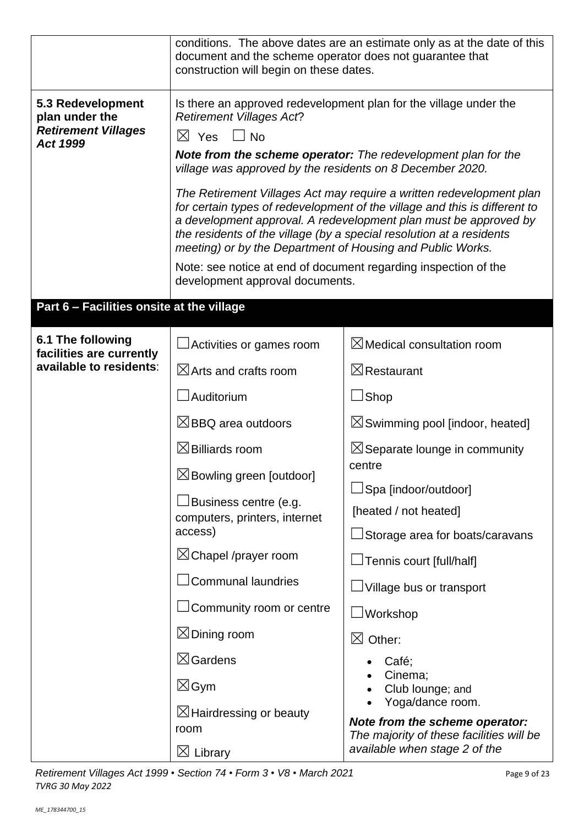|                                                                               | conditions. The above dates are an estimate only as at the date of this<br>document and the scheme operator does not guarantee that<br>construction will begin on these dates.                                                                                                                                                                               |                                                                            |  |  |
|-------------------------------------------------------------------------------|--------------------------------------------------------------------------------------------------------------------------------------------------------------------------------------------------------------------------------------------------------------------------------------------------------------------------------------------------------------|----------------------------------------------------------------------------|--|--|
| 5.3 Redevelopment<br>plan under the<br><b>Retirement Villages</b><br>Act 1999 | Is there an approved redevelopment plan for the village under the<br><b>Retirement Villages Act?</b><br>$\boxtimes$ Yes<br>$\Box$ No                                                                                                                                                                                                                         |                                                                            |  |  |
|                                                                               | <b>Note from the scheme operator:</b> The redevelopment plan for the<br>village was approved by the residents on 8 December 2020.                                                                                                                                                                                                                            |                                                                            |  |  |
|                                                                               | The Retirement Villages Act may require a written redevelopment plan<br>for certain types of redevelopment of the village and this is different to<br>a development approval. A redevelopment plan must be approved by<br>the residents of the village (by a special resolution at a residents<br>meeting) or by the Department of Housing and Public Works. |                                                                            |  |  |
|                                                                               | Note: see notice at end of document regarding inspection of the<br>development approval documents.                                                                                                                                                                                                                                                           |                                                                            |  |  |
| Part 6 - Facilities onsite at the village                                     |                                                                                                                                                                                                                                                                                                                                                              |                                                                            |  |  |
| 6.1 The following<br>facilities are currently                                 | Activities or games room                                                                                                                                                                                                                                                                                                                                     | $\boxtimes$ Medical consultation room                                      |  |  |
| available to residents:                                                       | $\boxtimes$ Arts and crafts room                                                                                                                                                                                                                                                                                                                             | $\boxtimes$ Restaurant                                                     |  |  |
|                                                                               | Auditorium                                                                                                                                                                                                                                                                                                                                                   | $\sqcup$ Shop                                                              |  |  |
|                                                                               | $\boxtimes$ BBQ area outdoors                                                                                                                                                                                                                                                                                                                                | $\boxtimes$ Swimming pool [indoor, heated]                                 |  |  |
|                                                                               | $\boxtimes$ Billiards room<br>$\boxtimes$ Separate lounge in community<br>centre                                                                                                                                                                                                                                                                             |                                                                            |  |  |
|                                                                               | $\boxtimes$ Bowling green [outdoor]                                                                                                                                                                                                                                                                                                                          | $\Box$ Spa [indoor/outdoor]                                                |  |  |
|                                                                               | Business centre (e.g.<br>computers, printers, internet<br>access)                                                                                                                                                                                                                                                                                            | [heated / not heated]                                                      |  |  |
|                                                                               |                                                                                                                                                                                                                                                                                                                                                              | $\Box$ Storage area for boats/caravans                                     |  |  |
|                                                                               | $\boxtimes$ Chapel /prayer room                                                                                                                                                                                                                                                                                                                              | $\Box$ Tennis court [full/half]                                            |  |  |
|                                                                               | <b>Communal laundries</b>                                                                                                                                                                                                                                                                                                                                    | $\Box$ Village bus or transport                                            |  |  |
|                                                                               | Community room or centre                                                                                                                                                                                                                                                                                                                                     | $\Box$ Workshop                                                            |  |  |
|                                                                               | $\boxtimes$ Dining room                                                                                                                                                                                                                                                                                                                                      | $\boxtimes$ Other:                                                         |  |  |
|                                                                               | $\boxtimes$ Gardens                                                                                                                                                                                                                                                                                                                                          | Café;<br>Cinema;                                                           |  |  |
|                                                                               | $\boxtimes$ Gym                                                                                                                                                                                                                                                                                                                                              | Club lounge; and<br>Yoga/dance room.                                       |  |  |
|                                                                               | $\boxtimes$ Hairdressing or beauty<br>room                                                                                                                                                                                                                                                                                                                   | Note from the scheme operator:<br>The majority of these facilities will be |  |  |
|                                                                               | $\boxtimes$ Library                                                                                                                                                                                                                                                                                                                                          | available when stage 2 of the                                              |  |  |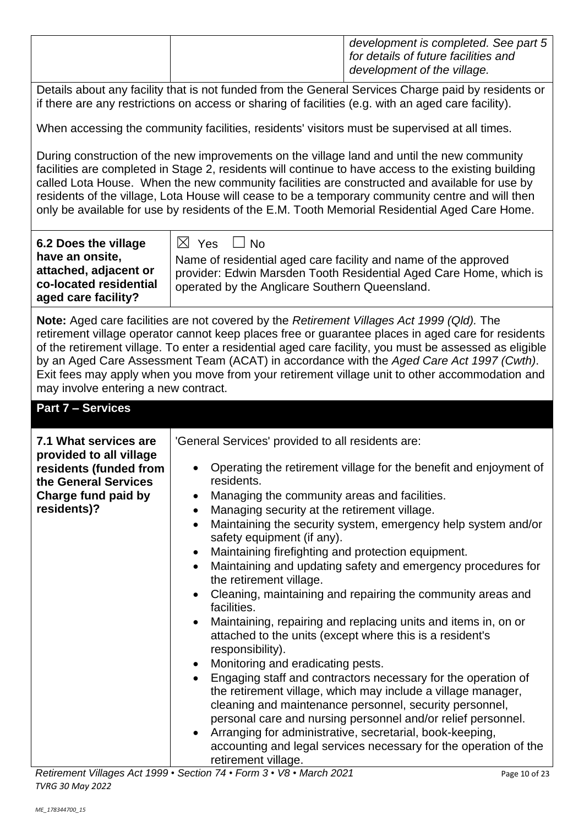|                                                                                                                                                                                                                                                                                                                                                                                                                                                                                                                                                        | development is completed. See part 5<br>for details of future facilities and<br>development of the village.                                                                                                             |  |  |  |  |
|--------------------------------------------------------------------------------------------------------------------------------------------------------------------------------------------------------------------------------------------------------------------------------------------------------------------------------------------------------------------------------------------------------------------------------------------------------------------------------------------------------------------------------------------------------|-------------------------------------------------------------------------------------------------------------------------------------------------------------------------------------------------------------------------|--|--|--|--|
| Details about any facility that is not funded from the General Services Charge paid by residents or<br>if there are any restrictions on access or sharing of facilities (e.g. with an aged care facility).                                                                                                                                                                                                                                                                                                                                             |                                                                                                                                                                                                                         |  |  |  |  |
|                                                                                                                                                                                                                                                                                                                                                                                                                                                                                                                                                        | When accessing the community facilities, residents' visitors must be supervised at all times.                                                                                                                           |  |  |  |  |
| During construction of the new improvements on the village land and until the new community<br>facilities are completed in Stage 2, residents will continue to have access to the existing building<br>called Lota House. When the new community facilities are constructed and available for use by<br>residents of the village, Lota House will cease to be a temporary community centre and will then<br>only be available for use by residents of the E.M. Tooth Memorial Residential Aged Care Home.                                              |                                                                                                                                                                                                                         |  |  |  |  |
| 6.2 Does the village<br>have an onsite,<br>attached, adjacent or<br>co-located residential<br>aged care facility?                                                                                                                                                                                                                                                                                                                                                                                                                                      | $\boxtimes$ Yes<br>$\Box$ No<br>Name of residential aged care facility and name of the approved<br>provider: Edwin Marsden Tooth Residential Aged Care Home, which is<br>operated by the Anglicare Southern Queensland. |  |  |  |  |
| <b>Note:</b> Aged care facilities are not covered by the Retirement Villages Act 1999 (Qld). The<br>retirement village operator cannot keep places free or guarantee places in aged care for residents<br>of the retirement village. To enter a residential aged care facility, you must be assessed as eligible<br>by an Aged Care Assessment Team (ACAT) in accordance with the Aged Care Act 1997 (Cwth).<br>Exit fees may apply when you move from your retirement village unit to other accommodation and<br>may involve entering a new contract. |                                                                                                                                                                                                                         |  |  |  |  |
| <b>Part 7 - Services</b>                                                                                                                                                                                                                                                                                                                                                                                                                                                                                                                               |                                                                                                                                                                                                                         |  |  |  |  |
| 'General Services' provided to all residents are:<br>7.1 What services are                                                                                                                                                                                                                                                                                                                                                                                                                                                                             |                                                                                                                                                                                                                         |  |  |  |  |
| provided to all village<br>residents (funded from<br>the General Services<br>Charge fund paid by                                                                                                                                                                                                                                                                                                                                                                                                                                                       | Operating the retirement village for the benefit and enjoyment of<br>residents.<br>Managing the community areas and facilities.<br>$\bullet$                                                                            |  |  |  |  |
| residents)?                                                                                                                                                                                                                                                                                                                                                                                                                                                                                                                                            | Managing security at the retirement village.<br>$\bullet$<br>Maintaining the security system, emergency help system and/or<br>$\bullet$<br>safety equipment (if any).                                                   |  |  |  |  |
|                                                                                                                                                                                                                                                                                                                                                                                                                                                                                                                                                        | Maintaining firefighting and protection equipment.<br>$\bullet$<br>Maintaining and updating safety and emergency procedures for<br>$\bullet$                                                                            |  |  |  |  |
|                                                                                                                                                                                                                                                                                                                                                                                                                                                                                                                                                        | the retirement village.<br>Cleaning, maintaining and repairing the community areas and<br>$\bullet$                                                                                                                     |  |  |  |  |
|                                                                                                                                                                                                                                                                                                                                                                                                                                                                                                                                                        | facilities.                                                                                                                                                                                                             |  |  |  |  |
| attached to the units (except where this is a resident's                                                                                                                                                                                                                                                                                                                                                                                                                                                                                               |                                                                                                                                                                                                                         |  |  |  |  |
|                                                                                                                                                                                                                                                                                                                                                                                                                                                                                                                                                        | Maintaining, repairing and replacing units and items in, on or                                                                                                                                                          |  |  |  |  |
|                                                                                                                                                                                                                                                                                                                                                                                                                                                                                                                                                        | responsibility).<br>Monitoring and eradicating pests.<br>$\bullet$                                                                                                                                                      |  |  |  |  |
|                                                                                                                                                                                                                                                                                                                                                                                                                                                                                                                                                        | Engaging staff and contractors necessary for the operation of<br>$\bullet$<br>the retirement village, which may include a village manager,<br>cleaning and maintenance personnel, security personnel,                   |  |  |  |  |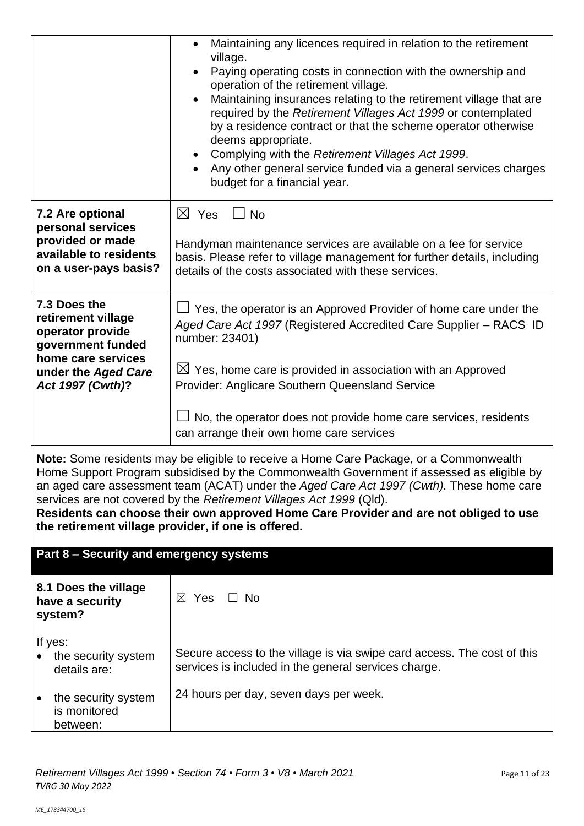|                                                                                                                                              | Maintaining any licences required in relation to the retirement<br>$\bullet$<br>village.<br>Paying operating costs in connection with the ownership and<br>$\bullet$<br>operation of the retirement village.<br>Maintaining insurances relating to the retirement village that are<br>$\bullet$<br>required by the Retirement Villages Act 1999 or contemplated<br>by a residence contract or that the scheme operator otherwise<br>deems appropriate.<br>Complying with the Retirement Villages Act 1999.<br>Any other general service funded via a general services charges<br>$\bullet$<br>budget for a financial year. |  |
|----------------------------------------------------------------------------------------------------------------------------------------------|----------------------------------------------------------------------------------------------------------------------------------------------------------------------------------------------------------------------------------------------------------------------------------------------------------------------------------------------------------------------------------------------------------------------------------------------------------------------------------------------------------------------------------------------------------------------------------------------------------------------------|--|
| 7.2 Are optional<br>personal services<br>provided or made<br>available to residents<br>on a user-pays basis?                                 | $\boxtimes$ Yes<br>$\Box$ No<br>Handyman maintenance services are available on a fee for service<br>basis. Please refer to village management for further details, including<br>details of the costs associated with these services.                                                                                                                                                                                                                                                                                                                                                                                       |  |
| 7.3 Does the<br>retirement village<br>operator provide<br>government funded<br>home care services<br>under the Aged Care<br>Act 1997 (Cwth)? | $\Box$ Yes, the operator is an Approved Provider of home care under the<br>Aged Care Act 1997 (Registered Accredited Care Supplier - RACS ID<br>number: 23401)<br>$\boxtimes$ Yes, home care is provided in association with an Approved<br>Provider: Anglicare Southern Queensland Service<br>No, the operator does not provide home care services, residents<br>can arrange their own home care services                                                                                                                                                                                                                 |  |
| the retirement village provider, if one is offered.                                                                                          | Note: Some residents may be eligible to receive a Home Care Package, or a Commonwealth<br>Home Support Program subsidised by the Commonwealth Government if assessed as eligible by<br>an aged care assessment team (ACAT) under the Aged Care Act 1997 (Cwth). These home care<br>services are not covered by the Retirement Villages Act 1999 (Qld).<br>Residents can choose their own approved Home Care Provider and are not obliged to use                                                                                                                                                                            |  |
| Part 8 - Security and emergency systems                                                                                                      |                                                                                                                                                                                                                                                                                                                                                                                                                                                                                                                                                                                                                            |  |
| 8.1 Does the village<br>have a security<br>system?                                                                                           | $\boxtimes$ Yes<br>$\Box$ No                                                                                                                                                                                                                                                                                                                                                                                                                                                                                                                                                                                               |  |
| If yes:<br>the security system<br>details are:                                                                                               | Secure access to the village is via swipe card access. The cost of this<br>services is included in the general services charge.                                                                                                                                                                                                                                                                                                                                                                                                                                                                                            |  |
| the security system<br>is monitored<br>between:                                                                                              | 24 hours per day, seven days per week.                                                                                                                                                                                                                                                                                                                                                                                                                                                                                                                                                                                     |  |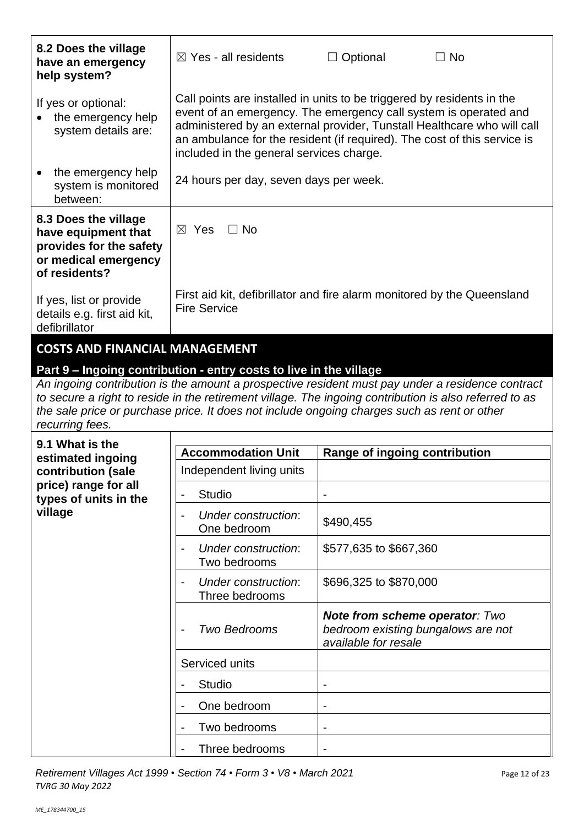| 8.2 Does the village<br>have an emergency<br>help system?                                                                                                                                                                                                                                                                                                                       | $\boxtimes$ Yes - all residents                                                                                                                                                                                                                                                                                                               | $\Box$ Optional                                                                                     | $\Box$ No |  |
|---------------------------------------------------------------------------------------------------------------------------------------------------------------------------------------------------------------------------------------------------------------------------------------------------------------------------------------------------------------------------------|-----------------------------------------------------------------------------------------------------------------------------------------------------------------------------------------------------------------------------------------------------------------------------------------------------------------------------------------------|-----------------------------------------------------------------------------------------------------|-----------|--|
| If yes or optional:<br>the emergency help<br>system details are:                                                                                                                                                                                                                                                                                                                | Call points are installed in units to be triggered by residents in the<br>event of an emergency. The emergency call system is operated and<br>administered by an external provider, Tunstall Healthcare who will call<br>an ambulance for the resident (if required). The cost of this service is<br>included in the general services charge. |                                                                                                     |           |  |
| the emergency help<br>system is monitored<br>between:                                                                                                                                                                                                                                                                                                                           | 24 hours per day, seven days per week.                                                                                                                                                                                                                                                                                                        |                                                                                                     |           |  |
| 8.3 Does the village<br>have equipment that<br>provides for the safety<br>or medical emergency<br>of residents?                                                                                                                                                                                                                                                                 | $\Box$ No<br>$\boxtimes$ Yes                                                                                                                                                                                                                                                                                                                  |                                                                                                     |           |  |
| If yes, list or provide<br>details e.g. first aid kit,<br>defibrillator                                                                                                                                                                                                                                                                                                         | First aid kit, defibrillator and fire alarm monitored by the Queensland<br><b>Fire Service</b>                                                                                                                                                                                                                                                |                                                                                                     |           |  |
| Part 9 - Ingoing contribution - entry costs to live in the village<br>An ingoing contribution is the amount a prospective resident must pay under a residence contract<br>to secure a right to reside in the retirement village. The ingoing contribution is also referred to as<br>the sale price or purchase price. It does not include ongoing charges such as rent or other |                                                                                                                                                                                                                                                                                                                                               |                                                                                                     |           |  |
| recurring fees.                                                                                                                                                                                                                                                                                                                                                                 |                                                                                                                                                                                                                                                                                                                                               |                                                                                                     |           |  |
| 9.1 What is the<br>estimated ingoing                                                                                                                                                                                                                                                                                                                                            | <b>Accommodation Unit</b>                                                                                                                                                                                                                                                                                                                     | Range of ingoing contribution                                                                       |           |  |
| contribution (sale                                                                                                                                                                                                                                                                                                                                                              | Independent living units                                                                                                                                                                                                                                                                                                                      |                                                                                                     |           |  |
| price) range for all<br>types of units in the                                                                                                                                                                                                                                                                                                                                   | <b>Studio</b>                                                                                                                                                                                                                                                                                                                                 |                                                                                                     |           |  |
| village                                                                                                                                                                                                                                                                                                                                                                         | Under construction:<br>One bedroom                                                                                                                                                                                                                                                                                                            | \$490,455                                                                                           |           |  |
|                                                                                                                                                                                                                                                                                                                                                                                 |                                                                                                                                                                                                                                                                                                                                               |                                                                                                     |           |  |
|                                                                                                                                                                                                                                                                                                                                                                                 | Under construction:<br>Two bedrooms                                                                                                                                                                                                                                                                                                           | \$577,635 to \$667,360                                                                              |           |  |
|                                                                                                                                                                                                                                                                                                                                                                                 | <b>Under construction:</b><br>Three bedrooms                                                                                                                                                                                                                                                                                                  | \$696,325 to \$870,000                                                                              |           |  |
|                                                                                                                                                                                                                                                                                                                                                                                 | <b>Two Bedrooms</b>                                                                                                                                                                                                                                                                                                                           | <b>Note from scheme operator: Two</b><br>bedroom existing bungalows are not<br>available for resale |           |  |
|                                                                                                                                                                                                                                                                                                                                                                                 | Serviced units                                                                                                                                                                                                                                                                                                                                |                                                                                                     |           |  |
|                                                                                                                                                                                                                                                                                                                                                                                 | Studio                                                                                                                                                                                                                                                                                                                                        |                                                                                                     |           |  |
|                                                                                                                                                                                                                                                                                                                                                                                 | One bedroom                                                                                                                                                                                                                                                                                                                                   |                                                                                                     |           |  |
|                                                                                                                                                                                                                                                                                                                                                                                 | Two bedrooms                                                                                                                                                                                                                                                                                                                                  |                                                                                                     |           |  |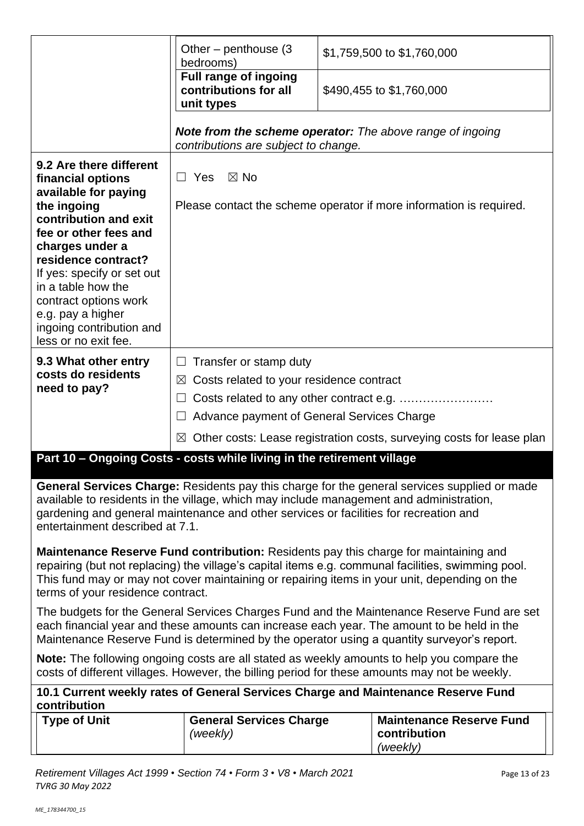|                                                                                                                                                                                                                                                                                                                                       | Other – penthouse $(3)$<br>bedrooms)                                                                                                                                                                               | \$1,759,500 to \$1,760,000 |  |  |  |
|---------------------------------------------------------------------------------------------------------------------------------------------------------------------------------------------------------------------------------------------------------------------------------------------------------------------------------------|--------------------------------------------------------------------------------------------------------------------------------------------------------------------------------------------------------------------|----------------------------|--|--|--|
|                                                                                                                                                                                                                                                                                                                                       | <b>Full range of ingoing</b><br>contributions for all<br>unit types                                                                                                                                                | \$490,455 to \$1,760,000   |  |  |  |
|                                                                                                                                                                                                                                                                                                                                       | <b>Note from the scheme operator:</b> The above range of ingoing<br>contributions are subject to change.                                                                                                           |                            |  |  |  |
| 9.2 Are there different<br>financial options<br>available for paying<br>the ingoing<br>contribution and exit<br>fee or other fees and<br>charges under a<br>residence contract?<br>If yes: specify or set out<br>in a table how the<br>contract options work<br>e.g. pay a higher<br>ingoing contribution and<br>less or no exit fee. | $\Box$ Yes<br>$\boxtimes$ No<br>Please contact the scheme operator if more information is required.                                                                                                                |                            |  |  |  |
| 9.3 What other entry<br>costs do residents<br>need to pay?                                                                                                                                                                                                                                                                            | Transfer or stamp duty<br>⊔<br>Costs related to your residence contract<br>⊠<br>Advance payment of General Services Charge<br>Other costs: Lease registration costs, surveying costs for lease plan<br>$\boxtimes$ |                            |  |  |  |
| Part 10 - Ongoing Costs - costs while living in the retirement village                                                                                                                                                                                                                                                                |                                                                                                                                                                                                                    |                            |  |  |  |
| <b>General Services Charge:</b> Residents pay this charge for the general services supplied or made<br>available to residents in the village, which may include management and administration,<br>gardening and general maintenance and other services or facilities for recreation and<br>entertainment described at 7.1.            |                                                                                                                                                                                                                    |                            |  |  |  |
| Maintenance Reserve Fund contribution: Residents pay this charge for maintaining and<br>repairing (but not replacing) the village's capital items e.g. communal facilities, swimming pool.<br>This fund may or may not cover maintaining or repairing items in your unit, depending on the<br>terms of your residence contract.       |                                                                                                                                                                                                                    |                            |  |  |  |
| The budgets for the General Services Charges Fund and the Maintenance Reserve Fund are set<br>each financial year and these amounts can increase each year. The amount to be held in the<br>Maintenance Reserve Fund is determined by the operator using a quantity surveyor's report.                                                |                                                                                                                                                                                                                    |                            |  |  |  |
| <b>Note:</b> The following ongoing costs are all stated as weekly amounts to help you compare the<br>costs of different villages. However, the billing period for these amounts may not be weekly.                                                                                                                                    |                                                                                                                                                                                                                    |                            |  |  |  |
| 10.1 Current weekly rates of General Services Charge and Maintenance Reserve Fund<br>contribution<br><b>Type of Unit</b><br><b>General Services Charge</b><br><b>Maintenance Reserve Fund</b>                                                                                                                                         |                                                                                                                                                                                                                    |                            |  |  |  |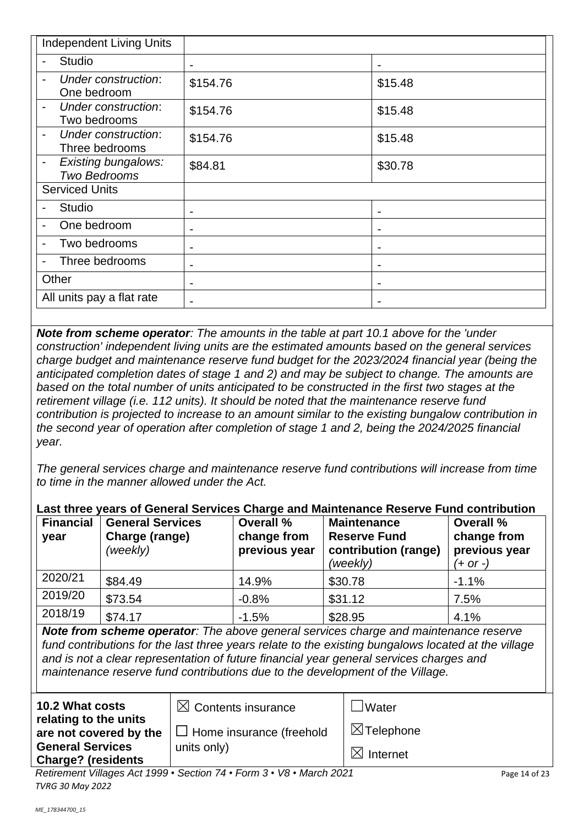| <b>Independent Living Units</b>                                   |                          |                |
|-------------------------------------------------------------------|--------------------------|----------------|
| <b>Studio</b>                                                     | $\blacksquare$           | $\blacksquare$ |
| Under construction:<br>One bedroom                                | \$154.76                 | \$15.48        |
| Under construction:<br>Two bedrooms                               | \$154.76                 | \$15.48        |
| Under construction:<br>$\overline{\phantom{0}}$<br>Three bedrooms | \$154.76                 | \$15.48        |
| <b>Existing bungalows:</b><br>-<br><b>Two Bedrooms</b>            | \$84.81                  | \$30.78        |
| <b>Serviced Units</b>                                             |                          |                |
| <b>Studio</b>                                                     | $\blacksquare$           |                |
| One bedroom                                                       |                          |                |
| Two bedrooms                                                      | $\overline{\phantom{0}}$ | $\blacksquare$ |
| Three bedrooms<br>-                                               | -                        |                |
| Other                                                             | $\blacksquare$           | $\blacksquare$ |
| All units pay a flat rate                                         |                          |                |

*Note from scheme operator: The amounts in the table at part 10.1 above for the 'under construction' independent living units are the estimated amounts based on the general services charge budget and maintenance reserve fund budget for the 2023/2024 financial year (being the anticipated completion dates of stage 1 and 2) and may be subject to change. The amounts are based on the total number of units anticipated to be constructed in the first two stages at the retirement village (i.e. 112 units). It should be noted that the maintenance reserve fund contribution is projected to increase to an amount similar to the existing bungalow contribution in the second year of operation after completion of stage 1 and 2, being the 2024/2025 financial year.*

*The general services charge and maintenance reserve fund contributions will increase from time to time in the manner allowed under the Act.*

|  |  |  | Last three years of General Services Charge and Maintenance Reserve Fund contribution |
|--|--|--|---------------------------------------------------------------------------------------|
|  |  |  |                                                                                       |

| <b>Financial</b><br>year | <b>General Services</b><br>Charge (range)<br>(weekly) | <b>Overall %</b><br>change from<br>previous year | <b>Maintenance</b><br><b>Reserve Fund</b><br>contribution (range)<br>(weekly) | <b>Overall %</b><br>change from<br>previous year<br>(+ or -) |
|--------------------------|-------------------------------------------------------|--------------------------------------------------|-------------------------------------------------------------------------------|--------------------------------------------------------------|
| 2020/21                  | \$84.49                                               | 14.9%                                            | \$30.78                                                                       | $-1.1%$                                                      |
| 2019/20                  | \$73.54                                               | $-0.8%$                                          | \$31.12                                                                       | 7.5%                                                         |
| 2018/19                  | \$74.17                                               | $-1.5%$                                          | \$28.95                                                                       | 4.1%                                                         |

*Note from scheme operator: The above general services charge and maintenance reserve fund contributions for the last three years relate to the existing bungalows located at the village and is not a clear representation of future financial year general services charges and maintenance reserve fund contributions due to the development of the Village.*

| 10.2 What costs                                      | $\boxtimes$ Contents insurance                                       | Water                 |
|------------------------------------------------------|----------------------------------------------------------------------|-----------------------|
| relating to the units<br>are not covered by the      | $\Box$ Home insurance (freehold                                      | $\boxtimes$ Telephone |
| <b>General Services</b><br><b>Charge? (residents</b> | units only)                                                          | $\bowtie$<br>Internet |
|                                                      | Retirement Villages Act 1999 · Section 74 · Form 3 · V8 · March 2021 | Page 14 of 23         |
| <b>TVRG 30 May 2022</b>                              |                                                                      |                       |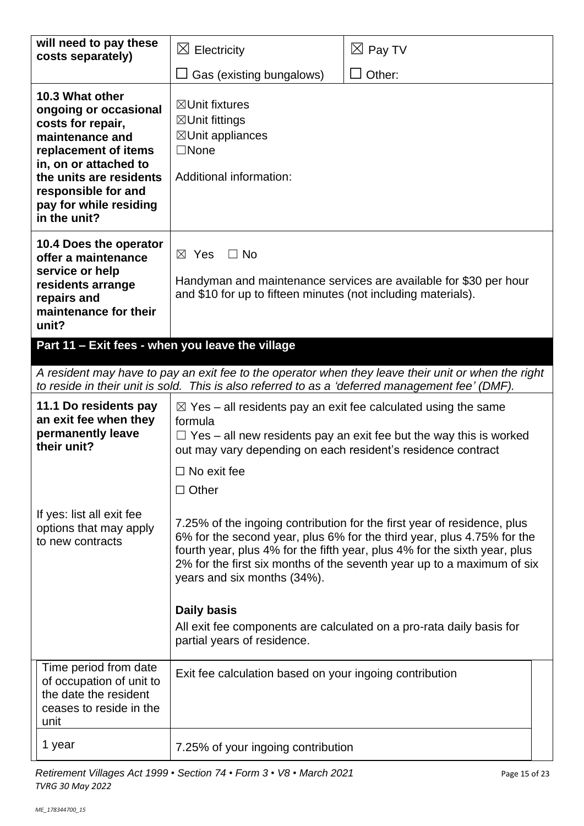| will need to pay these<br>costs separately)                                                                                                                                                                                   | $\boxtimes$ Electricity                                                                                                                                                                                                                                                                                                                                                                                                                                       | $\boxtimes$ Pay TV                                                                                  |  |
|-------------------------------------------------------------------------------------------------------------------------------------------------------------------------------------------------------------------------------|---------------------------------------------------------------------------------------------------------------------------------------------------------------------------------------------------------------------------------------------------------------------------------------------------------------------------------------------------------------------------------------------------------------------------------------------------------------|-----------------------------------------------------------------------------------------------------|--|
|                                                                                                                                                                                                                               | Gas (existing bungalows)                                                                                                                                                                                                                                                                                                                                                                                                                                      | Other:                                                                                              |  |
| 10.3 What other<br>ongoing or occasional<br>costs for repair,<br>maintenance and<br>replacement of items<br>in, on or attached to<br>the units are residents<br>responsible for and<br>pay for while residing<br>in the unit? | $\boxtimes$ Unit fixtures<br>⊠Unit fittings<br>$\boxtimes$ Unit appliances<br>$\Box$ None<br>Additional information:                                                                                                                                                                                                                                                                                                                                          |                                                                                                     |  |
| 10.4 Does the operator<br>offer a maintenance<br>service or help<br>residents arrange<br>repairs and<br>maintenance for their<br>unit?<br>Part 11 - Exit fees - when you leave the village                                    | $\boxtimes$ Yes<br>$\Box$ No<br>Handyman and maintenance services are available for \$30 per hour<br>and \$10 for up to fifteen minutes (not including materials).                                                                                                                                                                                                                                                                                            |                                                                                                     |  |
|                                                                                                                                                                                                                               | to reside in their unit is sold. This is also referred to as a 'deferred management fee' (DMF).                                                                                                                                                                                                                                                                                                                                                               | A resident may have to pay an exit fee to the operator when they leave their unit or when the right |  |
| 11.1 Do residents pay<br>an exit fee when they<br>permanently leave<br>their unit?                                                                                                                                            | $\boxtimes$ Yes – all residents pay an exit fee calculated using the same<br>formula<br>out may vary depending on each resident's residence contract<br>$\Box$ No exit fee<br>$\Box$ Other                                                                                                                                                                                                                                                                    | $\Box$ Yes – all new residents pay an exit fee but the way this is worked                           |  |
| If yes: list all exit fee<br>options that may apply<br>to new contracts                                                                                                                                                       | 7.25% of the ingoing contribution for the first year of residence, plus<br>6% for the second year, plus 6% for the third year, plus 4.75% for the<br>fourth year, plus 4% for the fifth year, plus 4% for the sixth year, plus<br>2% for the first six months of the seventh year up to a maximum of six<br>years and six months (34%).<br>Daily basis<br>All exit fee components are calculated on a pro-rata daily basis for<br>partial years of residence. |                                                                                                     |  |
| Time period from date<br>of occupation of unit to<br>the date the resident<br>ceases to reside in the<br>unit                                                                                                                 | Exit fee calculation based on your ingoing contribution                                                                                                                                                                                                                                                                                                                                                                                                       |                                                                                                     |  |
| 1 year                                                                                                                                                                                                                        | 7.25% of your ingoing contribution                                                                                                                                                                                                                                                                                                                                                                                                                            |                                                                                                     |  |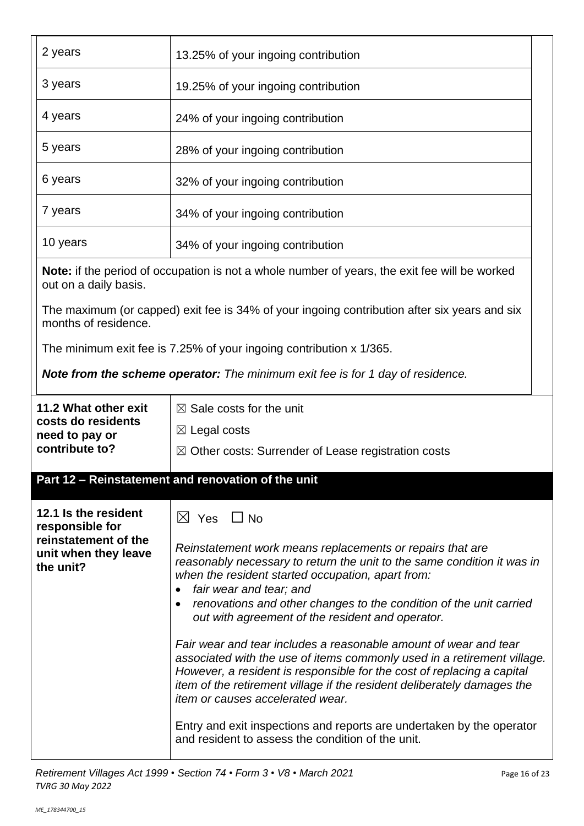| 2 years                                                   | 13.25% of your ingoing contribution                                                                                                                                                                                                                                                                                                            |  |
|-----------------------------------------------------------|------------------------------------------------------------------------------------------------------------------------------------------------------------------------------------------------------------------------------------------------------------------------------------------------------------------------------------------------|--|
| 3 years                                                   | 19.25% of your ingoing contribution                                                                                                                                                                                                                                                                                                            |  |
| 4 years                                                   | 24% of your ingoing contribution                                                                                                                                                                                                                                                                                                               |  |
| 5 years                                                   | 28% of your ingoing contribution                                                                                                                                                                                                                                                                                                               |  |
| 6 years                                                   | 32% of your ingoing contribution                                                                                                                                                                                                                                                                                                               |  |
| 7 years                                                   | 34% of your ingoing contribution                                                                                                                                                                                                                                                                                                               |  |
| 10 years                                                  | 34% of your ingoing contribution                                                                                                                                                                                                                                                                                                               |  |
| out on a daily basis.                                     | <b>Note:</b> if the period of occupation is not a whole number of years, the exit fee will be worked                                                                                                                                                                                                                                           |  |
| months of residence.                                      | The maximum (or capped) exit fee is 34% of your ingoing contribution after six years and six                                                                                                                                                                                                                                                   |  |
|                                                           | The minimum exit fee is 7.25% of your ingoing contribution x 1/365.                                                                                                                                                                                                                                                                            |  |
|                                                           | <b>Note from the scheme operator:</b> The minimum exit fee is for 1 day of residence.                                                                                                                                                                                                                                                          |  |
| 11.2 What other exit                                      | $\boxtimes$ Sale costs for the unit                                                                                                                                                                                                                                                                                                            |  |
| costs do residents<br>need to pay or                      | $\boxtimes$ Legal costs                                                                                                                                                                                                                                                                                                                        |  |
| contribute to?                                            | $\boxtimes$ Other costs: Surrender of Lease registration costs                                                                                                                                                                                                                                                                                 |  |
|                                                           | Part 12 - Reinstatement and renovation of the unit                                                                                                                                                                                                                                                                                             |  |
| 12.1 Is the resident<br>responsible for                   | ⊠ Yes □ No                                                                                                                                                                                                                                                                                                                                     |  |
| reinstatement of the<br>unit when they leave<br>the unit? | Reinstatement work means replacements or repairs that are<br>reasonably necessary to return the unit to the same condition it was in<br>when the resident started occupation, apart from:<br>fair wear and tear; and<br>renovations and other changes to the condition of the unit carried<br>out with agreement of the resident and operator. |  |
|                                                           | Fair wear and tear includes a reasonable amount of wear and tear<br>associated with the use of items commonly used in a retirement village.<br>However, a resident is responsible for the cost of replacing a capital<br>item of the retirement village if the resident deliberately damages the<br>item or causes accelerated wear.           |  |
|                                                           | Entry and exit inspections and reports are undertaken by the operator<br>and resident to assess the condition of the unit.                                                                                                                                                                                                                     |  |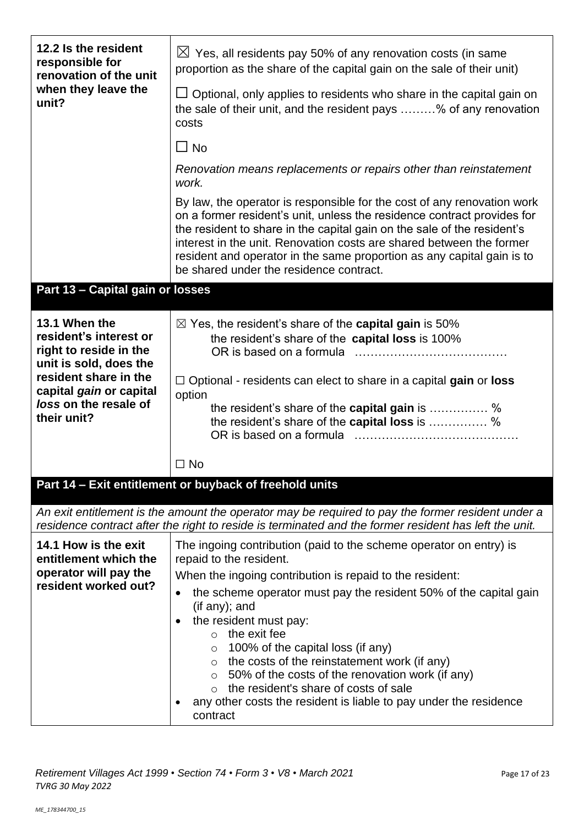| 12.2 Is the resident<br>responsible for<br>renovation of the unit<br>when they leave the<br>unit?                                                                                       | $\boxtimes$ Yes, all residents pay 50% of any renovation costs (in same<br>proportion as the share of the capital gain on the sale of their unit)<br>$\Box$ Optional, only applies to residents who share in the capital gain on<br>the sale of their unit, and the resident pays % of any renovation<br>costs<br>$\Box$ No<br>Renovation means replacements or repairs other than reinstatement<br>work.<br>By law, the operator is responsible for the cost of any renovation work<br>on a former resident's unit, unless the residence contract provides for<br>the resident to share in the capital gain on the sale of the resident's<br>interest in the unit. Renovation costs are shared between the former<br>resident and operator in the same proportion as any capital gain is to |
|-----------------------------------------------------------------------------------------------------------------------------------------------------------------------------------------|----------------------------------------------------------------------------------------------------------------------------------------------------------------------------------------------------------------------------------------------------------------------------------------------------------------------------------------------------------------------------------------------------------------------------------------------------------------------------------------------------------------------------------------------------------------------------------------------------------------------------------------------------------------------------------------------------------------------------------------------------------------------------------------------|
|                                                                                                                                                                                         | be shared under the residence contract.                                                                                                                                                                                                                                                                                                                                                                                                                                                                                                                                                                                                                                                                                                                                                      |
| Part 13 - Capital gain or losses                                                                                                                                                        |                                                                                                                                                                                                                                                                                                                                                                                                                                                                                                                                                                                                                                                                                                                                                                                              |
| 13.1 When the<br>resident's interest or<br>right to reside in the<br>unit is sold, does the<br>resident share in the<br>capital gain or capital<br>loss on the resale of<br>their unit? | $\boxtimes$ Yes, the resident's share of the <b>capital gain</b> is 50%<br>the resident's share of the capital loss is 100%<br>$\Box$ Optional - residents can elect to share in a capital gain or loss<br>option<br>the resident's share of the <b>capital gain</b> is  %<br>the resident's share of the capital loss is  %                                                                                                                                                                                                                                                                                                                                                                                                                                                                 |
|                                                                                                                                                                                         | $\Box$ No                                                                                                                                                                                                                                                                                                                                                                                                                                                                                                                                                                                                                                                                                                                                                                                    |
|                                                                                                                                                                                         | Part 14 - Exit entitlement or buyback of freehold units                                                                                                                                                                                                                                                                                                                                                                                                                                                                                                                                                                                                                                                                                                                                      |
|                                                                                                                                                                                         | An exit entitlement is the amount the operator may be required to pay the former resident under a<br>residence contract after the right to reside is terminated and the former resident has left the unit.                                                                                                                                                                                                                                                                                                                                                                                                                                                                                                                                                                                   |
| 14.1 How is the exit<br>entitlement which the<br>operator will pay the<br>resident worked out?                                                                                          | The ingoing contribution (paid to the scheme operator on entry) is<br>repaid to the resident.<br>When the ingoing contribution is repaid to the resident:<br>the scheme operator must pay the resident 50% of the capital gain<br>$($ if any $)$ ; and<br>the resident must pay:<br>$\circ$ the exit fee<br>100% of the capital loss (if any)<br>$\circ$<br>the costs of the reinstatement work (if any)<br>O<br>50% of the costs of the renovation work (if any)<br>$\circ$<br>the resident's share of costs of sale<br>$\bigcirc$<br>any other costs the resident is liable to pay under the residence<br>contract                                                                                                                                                                         |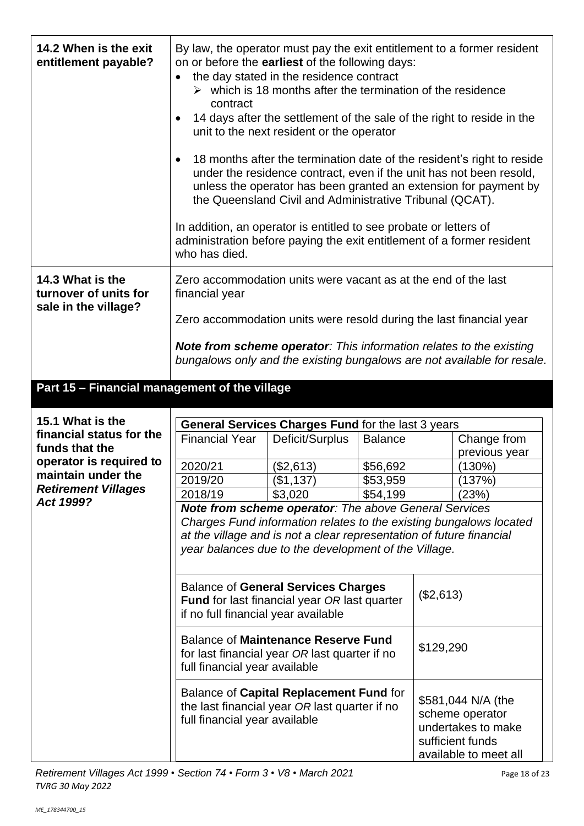| 14.2 When is the exit<br>entitlement payable?                     | By law, the operator must pay the exit entitlement to a former resident<br>on or before the earliest of the following days:<br>contract<br>In addition, an operator is entitled to see probate or letters of<br>administration before paying the exit entitlement of a former resident<br>who has died. | the day stated in the residence contract<br>$\triangleright$ which is 18 months after the termination of the residence<br>14 days after the settlement of the sale of the right to reside in the<br>unit to the next resident or the operator<br>under the residence contract, even if the unit has not been resold,<br>unless the operator has been granted an extension for payment by<br>the Queensland Civil and Administrative Tribunal (QCAT). |                      |           | 18 months after the termination date of the resident's right to reside                                   |
|-------------------------------------------------------------------|---------------------------------------------------------------------------------------------------------------------------------------------------------------------------------------------------------------------------------------------------------------------------------------------------------|------------------------------------------------------------------------------------------------------------------------------------------------------------------------------------------------------------------------------------------------------------------------------------------------------------------------------------------------------------------------------------------------------------------------------------------------------|----------------------|-----------|----------------------------------------------------------------------------------------------------------|
| 14.3 What is the<br>turnover of units for<br>sale in the village? | Zero accommodation units were vacant as at the end of the last<br>financial year                                                                                                                                                                                                                        |                                                                                                                                                                                                                                                                                                                                                                                                                                                      |                      |           |                                                                                                          |
|                                                                   | Zero accommodation units were resold during the last financial year                                                                                                                                                                                                                                     |                                                                                                                                                                                                                                                                                                                                                                                                                                                      |                      |           |                                                                                                          |
|                                                                   | <b>Note from scheme operator:</b> This information relates to the existing                                                                                                                                                                                                                              |                                                                                                                                                                                                                                                                                                                                                                                                                                                      |                      |           | bungalows only and the existing bungalows are not available for resale.                                  |
| Part 15 - Financial management of the village                     |                                                                                                                                                                                                                                                                                                         |                                                                                                                                                                                                                                                                                                                                                                                                                                                      |                      |           |                                                                                                          |
| 15.1 What is the<br>financial status for the<br>funds that the    | <b>Financial Year</b>                                                                                                                                                                                                                                                                                   | General Services Charges Fund for the last 3 years<br>Deficit/Surplus                                                                                                                                                                                                                                                                                                                                                                                | <b>Balance</b>       |           | Change from<br>previous year                                                                             |
| operator is required to<br>maintain under the                     | 2020/21                                                                                                                                                                                                                                                                                                 | (\$2,613)                                                                                                                                                                                                                                                                                                                                                                                                                                            | \$56,692             |           | (130%)                                                                                                   |
| <b>Retirement Villages</b>                                        | 2019/20<br>2018/19                                                                                                                                                                                                                                                                                      | (\$1,137)<br>\$3,020                                                                                                                                                                                                                                                                                                                                                                                                                                 | \$53,959<br>\$54,199 |           | 137%)<br>(23%)                                                                                           |
| Act 1999?                                                         |                                                                                                                                                                                                                                                                                                         | <b>Note from scheme operator:</b> The above General Services                                                                                                                                                                                                                                                                                                                                                                                         |                      |           |                                                                                                          |
|                                                                   |                                                                                                                                                                                                                                                                                                         | Charges Fund information relates to the existing bungalows located<br>at the village and is not a clear representation of future financial<br>year balances due to the development of the Village.                                                                                                                                                                                                                                                   |                      |           |                                                                                                          |
|                                                                   | if no full financial year available                                                                                                                                                                                                                                                                     | <b>Balance of General Services Charges</b><br><b>Fund</b> for last financial year OR last quarter                                                                                                                                                                                                                                                                                                                                                    |                      | (\$2,613) |                                                                                                          |
|                                                                   | full financial year available                                                                                                                                                                                                                                                                           | <b>Balance of Maintenance Reserve Fund</b><br>for last financial year OR last quarter if no                                                                                                                                                                                                                                                                                                                                                          |                      | \$129,290 |                                                                                                          |
|                                                                   | full financial year available                                                                                                                                                                                                                                                                           | Balance of Capital Replacement Fund for<br>the last financial year OR last quarter if no                                                                                                                                                                                                                                                                                                                                                             |                      |           | \$581,044 N/A (the<br>scheme operator<br>undertakes to make<br>sufficient funds<br>available to meet all |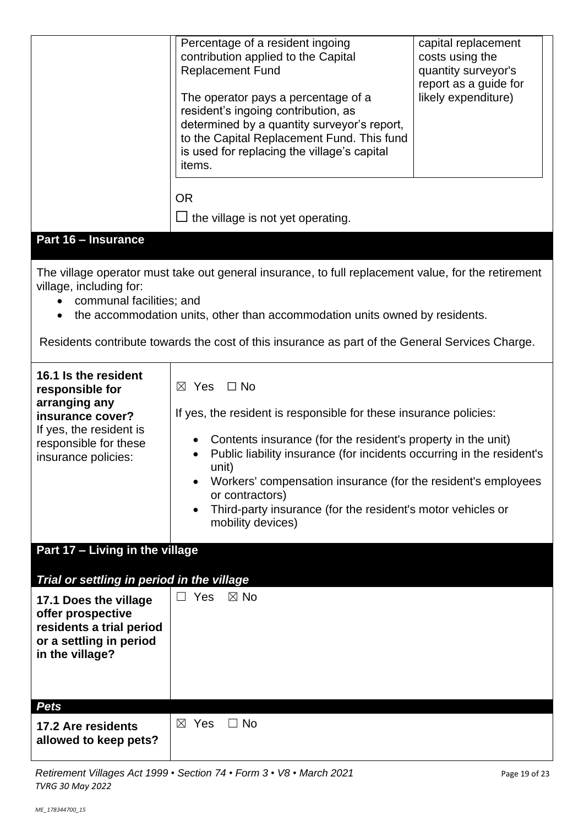|                                                                                                                                                         | Percentage of a resident ingoing<br>contribution applied to the Capital<br><b>Replacement Fund</b><br>The operator pays a percentage of a<br>resident's ingoing contribution, as<br>determined by a quantity surveyor's report,<br>to the Capital Replacement Fund. This fund<br>is used for replacing the village's capital<br>items.<br><b>OR</b><br>$\Box$ the village is not yet operating.                                          | capital replacement<br>costs using the<br>quantity surveyor's<br>report as a guide for<br>likely expenditure) |
|---------------------------------------------------------------------------------------------------------------------------------------------------------|------------------------------------------------------------------------------------------------------------------------------------------------------------------------------------------------------------------------------------------------------------------------------------------------------------------------------------------------------------------------------------------------------------------------------------------|---------------------------------------------------------------------------------------------------------------|
| <b>Part 16 - Insurance</b>                                                                                                                              |                                                                                                                                                                                                                                                                                                                                                                                                                                          |                                                                                                               |
| village, including for:<br>communal facilities; and                                                                                                     | The village operator must take out general insurance, to full replacement value, for the retirement<br>the accommodation units, other than accommodation units owned by residents.<br>Residents contribute towards the cost of this insurance as part of the General Services Charge.                                                                                                                                                    |                                                                                                               |
| 16.1 Is the resident<br>responsible for<br>arranging any<br>insurance cover?<br>If yes, the resident is<br>responsible for these<br>insurance policies: | $\Box$ No<br>$\boxtimes$ Yes<br>If yes, the resident is responsible for these insurance policies:<br>Contents insurance (for the resident's property in the unit)<br>Public liability insurance (for incidents occurring in the resident's<br>unit)<br>Workers' compensation insurance (for the resident's employees<br>or contractors)<br>Third-party insurance (for the resident's motor vehicles or<br>$\bullet$<br>mobility devices) |                                                                                                               |
| Part 17 - Living in the village                                                                                                                         |                                                                                                                                                                                                                                                                                                                                                                                                                                          |                                                                                                               |
| Trial or settling in period in the village                                                                                                              |                                                                                                                                                                                                                                                                                                                                                                                                                                          |                                                                                                               |
| 17.1 Does the village<br>offer prospective<br>residents a trial period<br>or a settling in period<br>in the village?                                    | Yes<br>$\boxtimes$ No                                                                                                                                                                                                                                                                                                                                                                                                                    |                                                                                                               |
| <b>Pets</b><br>17.2 Are residents                                                                                                                       | $\boxtimes$ Yes<br>$\Box$ No                                                                                                                                                                                                                                                                                                                                                                                                             |                                                                                                               |
| allowed to keep pets?                                                                                                                                   |                                                                                                                                                                                                                                                                                                                                                                                                                                          |                                                                                                               |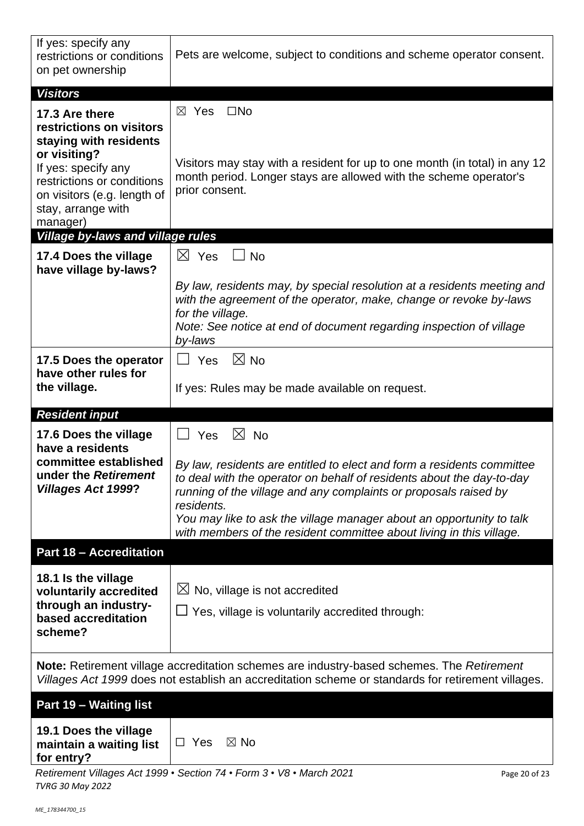| If yes: specify any<br>restrictions or conditions<br>on pet ownership                                                              | Pets are welcome, subject to conditions and scheme operator consent.                                                                                                                                                                                                                                      |
|------------------------------------------------------------------------------------------------------------------------------------|-----------------------------------------------------------------------------------------------------------------------------------------------------------------------------------------------------------------------------------------------------------------------------------------------------------|
| <b>Visitors</b>                                                                                                                    |                                                                                                                                                                                                                                                                                                           |
| 17.3 Are there<br>restrictions on visitors<br>staying with residents                                                               | $\boxtimes$ Yes<br>$\square$ No                                                                                                                                                                                                                                                                           |
| or visiting?<br>If yes: specify any<br>restrictions or conditions<br>on visitors (e.g. length of<br>stay, arrange with<br>manager) | Visitors may stay with a resident for up to one month (in total) in any 12<br>month period. Longer stays are allowed with the scheme operator's<br>prior consent.                                                                                                                                         |
| <b>Village by-laws and village rules</b>                                                                                           |                                                                                                                                                                                                                                                                                                           |
| 17.4 Does the village<br>have village by-laws?                                                                                     | $\boxtimes$ Yes<br>$\Box$ No                                                                                                                                                                                                                                                                              |
|                                                                                                                                    | By law, residents may, by special resolution at a residents meeting and<br>with the agreement of the operator, make, change or revoke by-laws<br>for the village.                                                                                                                                         |
|                                                                                                                                    | Note: See notice at end of document regarding inspection of village<br>by-laws                                                                                                                                                                                                                            |
| 17.5 Does the operator<br>have other rules for                                                                                     | $\boxtimes$ No<br>$\Box$ Yes                                                                                                                                                                                                                                                                              |
| the village.                                                                                                                       | If yes: Rules may be made available on request.                                                                                                                                                                                                                                                           |
| <b>Resident input</b>                                                                                                              |                                                                                                                                                                                                                                                                                                           |
| 17.6 Does the village                                                                                                              | $\boxtimes$ No<br>Yes<br>$\Box$                                                                                                                                                                                                                                                                           |
| have a residents<br>committee established<br>under the Retirement<br><b>Villages Act 1999?</b>                                     | By law, residents are entitled to elect and form a residents committee<br>to deal with the operator on behalf of residents about the day-to-day<br>running of the village and any complaints or proposals raised by<br>residents.<br>You may like to ask the village manager about an opportunity to talk |
|                                                                                                                                    | with members of the resident committee about living in this village.                                                                                                                                                                                                                                      |
| <b>Part 18 - Accreditation</b>                                                                                                     |                                                                                                                                                                                                                                                                                                           |
| 18.1 Is the village<br>voluntarily accredited<br>through an industry-<br>based accreditation<br>scheme?                            | $\boxtimes$ No, village is not accredited<br>$\Box$ Yes, village is voluntarily accredited through:                                                                                                                                                                                                       |
|                                                                                                                                    | Note: Retirement village accreditation schemes are industry-based schemes. The Retirement<br>Villages Act 1999 does not establish an accreditation scheme or standards for retirement villages.                                                                                                           |
| Part 19 - Waiting list                                                                                                             |                                                                                                                                                                                                                                                                                                           |

*ME\_178344700\_15*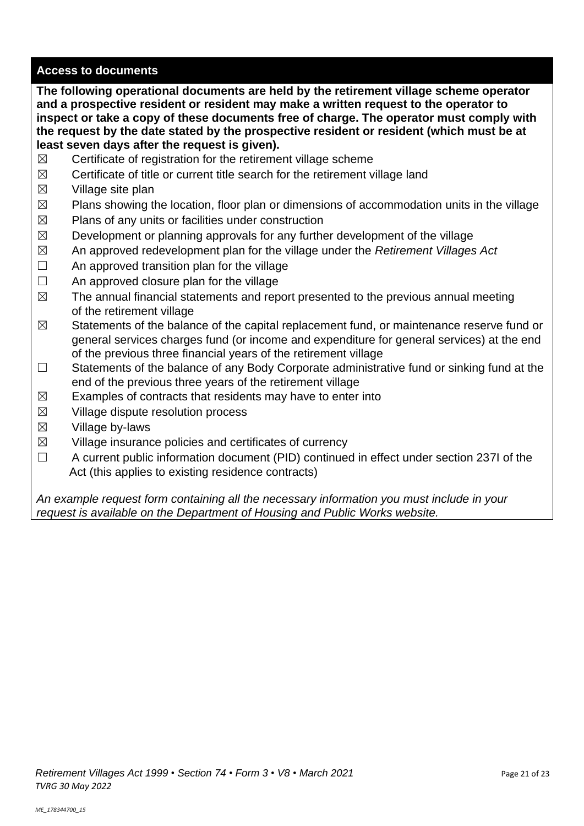# **Access to documents**

**The following operational documents are held by the retirement village scheme operator and a prospective resident or resident may make a written request to the operator to inspect or take a copy of these documents free of charge. The operator must comply with the request by the date stated by the prospective resident or resident (which must be at least seven days after the request is given).**

- $\boxtimes$  Certificate of registration for the retirement village scheme
- $\boxtimes$  Certificate of title or current title search for the retirement village land
- $\boxtimes$  Village site plan
- $\boxtimes$  Plans showing the location, floor plan or dimensions of accommodation units in the village
- $\boxtimes$  Plans of any units or facilities under construction
- $\boxtimes$  Development or planning approvals for any further development of the village
- ☒ An approved redevelopment plan for the village under the *Retirement Villages Act*
- $\Box$  An approved transition plan for the village
- $\Box$  An approved closure plan for the village
- $\boxtimes$  The annual financial statements and report presented to the previous annual meeting of the retirement village
- $\boxtimes$  Statements of the balance of the capital replacement fund, or maintenance reserve fund or general services charges fund (or income and expenditure for general services) at the end of the previous three financial years of the retirement village
- ☐ Statements of the balance of any Body Corporate administrative fund or sinking fund at the end of the previous three years of the retirement village
- $\boxtimes$  Examples of contracts that residents may have to enter into
- $\boxtimes$  Village dispute resolution process
- $\boxtimes$  Village by-laws
- $\boxtimes$  Village insurance policies and certificates of currency
- ☐ A current public information document (PID) continued in effect under section 237I of the Act (this applies to existing residence contracts)

*An example request form containing all the necessary information you must include in your request is available on the Department of Housing and Public Works website.*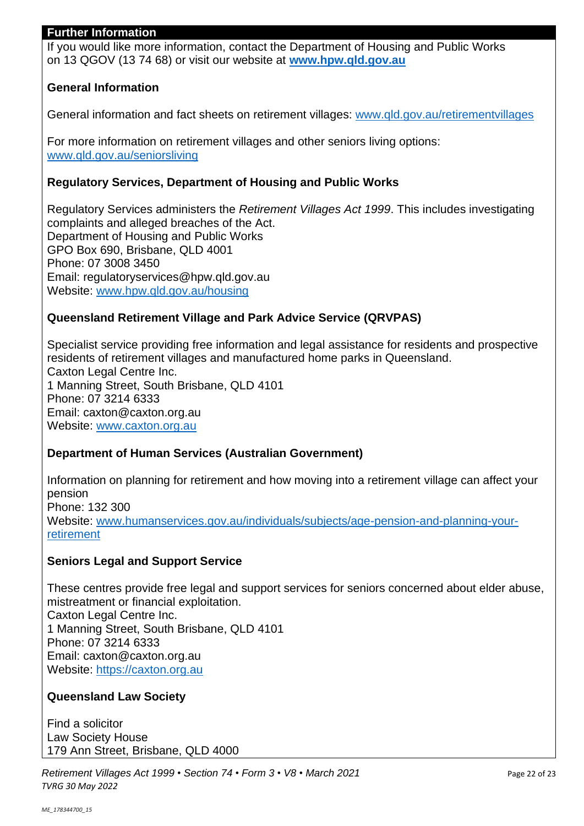#### **Further Information**

If you would like more information, contact the Department of Housing and Public Works on 13 QGOV (13 74 68) or visit our website at **[www.hpw.qld.gov.au](http://www.hpw.qld.gov.au/)**

# **General Information**

General information and fact sheets on retirement villages: [www.qld.gov.au/retirementvillages](http://www.qld.gov.au/retirementvillages)

For more information on retirement villages and other seniors living options: [www.qld.gov.au/seniorsliving](http://www.qld.gov.au/seniorsliving)

#### **Regulatory Services, Department of Housing and Public Works**

Regulatory Services administers the *Retirement Villages Act 1999*. This includes investigating complaints and alleged breaches of the Act. Department of Housing and Public Works GPO Box 690, Brisbane, QLD 4001 Phone: 07 3008 3450 Email: regulatoryservices@hpw.qld.gov.au Website: [www.hpw.qld.gov.au/housing](http://www.hpw.qld.gov.au/housing)

# **Queensland Retirement Village and Park Advice Service (QRVPAS)**

Specialist service providing free information and legal assistance for residents and prospective residents of retirement villages and manufactured home parks in Queensland. Caxton Legal Centre Inc. 1 Manning Street, South Brisbane, QLD 4101 Phone: 07 3214 6333 Email: caxton@caxton.org.au Website: [www.caxton.org.au](http://www.caxton.org.au/)

#### **Department of Human Services (Australian Government)**

Information on planning for retirement and how moving into a retirement village can affect your pension Phone: 132 300 Website: [www.humanservices.gov.au/individuals/subjects/age-pension-and-planning-your](file:///C:/Users/juliet.gross/AppData/Roaming/Microsoft/Word/www.humanservices.gov.au/individuals/subjects/age-pension-and-planning-your-retirement)[retirement](file:///C:/Users/juliet.gross/AppData/Roaming/Microsoft/Word/www.humanservices.gov.au/individuals/subjects/age-pension-and-planning-your-retirement)

#### **Seniors Legal and Support Service**

These centres provide free legal and support services for seniors concerned about elder abuse, mistreatment or financial exploitation. Caxton Legal Centre Inc. 1 Manning Street, South Brisbane, QLD 4101 Phone: 07 3214 6333 Email: caxton@caxton.org.au Website: [https://caxton.org.au](https://caxton.org.au/)

#### **Queensland Law Society**

Find a solicitor Law Society House 179 Ann Street, Brisbane, QLD 4000